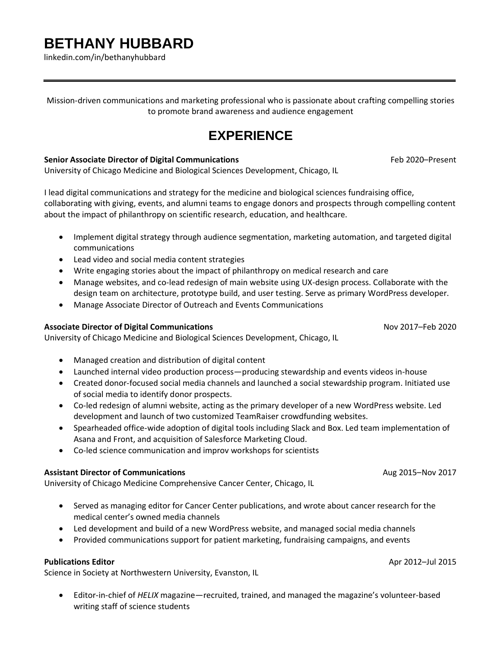# **BETHANY HUBBARD**

linkedin.com/in/bethanyhubbard

Mission-driven communications and marketing professional who is passionate about crafting compelling stories to promote brand awareness and audience engagement

### **EXPERIENCE**

#### **Senior Associate Director of Digital Communications** Feb 2020–Present

University of Chicago Medicine and Biological Sciences Development, Chicago, IL

I lead digital communications and strategy for the medicine and biological sciences fundraising office, collaborating with giving, events, and alumni teams to engage donors and prospects through compelling content about the impact of philanthropy on scientific research, education, and healthcare.

- Implement digital strategy through audience segmentation, marketing automation, and targeted digital communications
- Lead video and social media content strategies
- Write engaging stories about the impact of philanthropy on medical research and care
- Manage websites, and co-lead redesign of main website using UX-design process. Collaborate with the design team on architecture, prototype build, and user testing. Serve as primary WordPress developer.
- Manage Associate Director of Outreach and Events Communications

#### **Associate Director of Digital Communications** Nov 2017–Feb 2020

University of Chicago Medicine and Biological Sciences Development, Chicago, IL

- Managed creation and distribution of digital content
- Launched internal video production process—producing stewardship and events videos in-house
- Created donor-focused social media channels and launched a social stewardship program. Initiated use of social media to identify donor prospects.
- Co-led redesign of alumni website, acting as the primary developer of a new WordPress website. Led development and launch of two customized TeamRaiser crowdfunding websites.
- Spearheaded office-wide adoption of digital tools including Slack and Box. Led team implementation of Asana and Front, and acquisition of Salesforce Marketing Cloud.
- Co-led science communication and improv workshops for scientists

#### **Assistant Director of Communications** Aug 2015–Nov 2017

University of Chicago Medicine Comprehensive Cancer Center, Chicago, IL

- Served as managing editor for Cancer Center publications, and wrote about cancer research for the medical center's owned media channels
- Led development and build of a new WordPress website, and managed social media channels
- Provided communications support for patient marketing, fundraising campaigns, and events

#### **Publications Editor** Apple 2012–Jul 2015

Science in Society at Northwestern University, Evanston, IL

• Editor-in-chief of *HELIX* magazine—recruited, trained, and managed the magazine's volunteer-based writing staff of science students